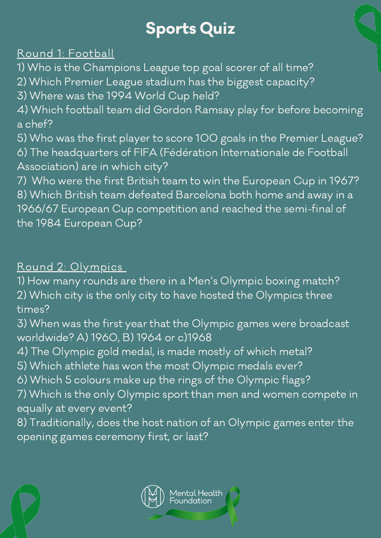# Sports Quiz

## Round 1: Football

1) Who is the Champions League top goal scorer of all time?

2) Which Premier League stadium has the biggest capacity?

3) Where was the 1994 World Cup held?

- 4) Which football team did Gordon Ramsay play for before becoming a chef?
- 5) Who was the first player to score 100 goals in the Premier League? 6) The headquarters of FIFA (Fédération Internationale de Football Association) are in which city?
- 7) Who were the first British team to win the European Cup in 1967? 8) Which British team defeated Barcelona both home and away in a 1966/67 European Cup competition and reached the semi-final of the 1984 European Cup?

### Round 2: Olympics

1) How many rounds are there in a Men's Olympic boxing match?

- 2) Which city is the only city to have hosted the Olympics three times?
- 3) When was the first year that the Olympic games were broadcast worldwide? A) 1960, B) 1964 or c)1968
- 4) The Olympic gold medal, is made mostly of which metal?
- 5) Which athlete has won the most Olympic medals ever?
- 6) Which 5 colours make up the rings of the Olympic flags?
- 7) Which is the only Olympic sport than men and women compete in equally at every event?
- 8) Traditionally, does the host nation of an Olympic games enter the opening games ceremony first, or last?



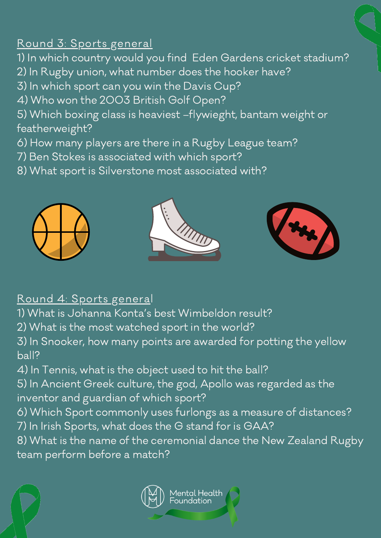# Round 3: Sports general

1) In which country would you find Eden Gardens cricket stadium?

- 2) In Rugby union, what number does the hooker have?
- 3) In which sport can you win the Davis Cup?
- 4) Who won the 2003 British Golf Open?
- 5) Which boxing class is heaviest –flywieght, bantam weight or featherweight?
- 6) How many players are there in a Rugby League team?
- 7) Ben Stokes is associated with which sport?
- 8) What sport is Silverstone most associated with?







#### Round 4: Sports general

- 1) What is Johanna Konta's best Wimbeldon result?
- 2) What is the most watched sport in the world?
- 3) In Snooker, how many points are awarded for potting the yellow ball?
- 4) In Tennis, what is the object used to hit the ball?
- 5) In Ancient Greek culture, the god, Apollo was regarded as the inventor and guardian of which sport?
- 6) Which Sport commonly uses furlongs as a measure of distances? 7) In Irish Sports, what does the G stand for is GAA?
- 8) What is the name of the ceremonial dance the New Zealand Rugby team perform before a match?